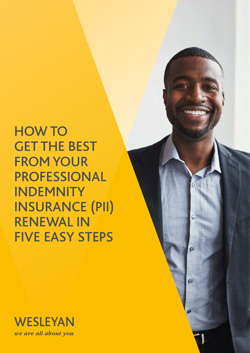HOW TO GET THE BEST FROM YOUR PROFESSIONAL INDEMNITY INSURANCE (PII) RENEWAL IN FIVE EASY STEPS

 $\omega$ 

 $\mathbf G$ 

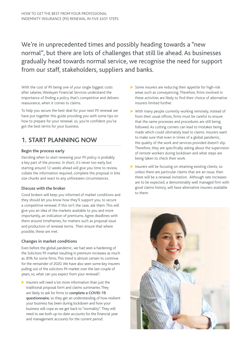We're in unprecedented times and possibly heading towards a "new normal", but there are lots of challenges that still lie ahead. As businesses gradually head towards normal service, we recognise the need for support from our staff, stakeholders, suppliers and banks.

With the cost of PII being one of your single biggest costs after salaries, Wesleyan Financial Services understand the importance of finding a policy that's competitive and delivers reassurance, when it comes to claims.

To help you secure the best deal for your next PII renewal we have put together this guide providing you with some tips on how to prepare for your renewal. so, you're confident you've got the best terms for your business.

# **1. START PLANNING NOW**

## **Begin the process early**

Deciding when to start renewing your PII policy is probably a key part of the process. In short, it's never too early but starting around 12 weeks ahead will give you time to review, collate the information required, complete the proposal in bite size chunks and react to any unforeseen circumstances.

## **Discuss with the broker**

Good brokers will keep you informed of market conditions and they should let you know how they'll support you, to secure a competitive renewal. If this isn't the case, ask them. This will give you an idea of the markets available to you and more importantly, an indication of premiums. Agree deadlines with them around timeframes, for matters such as proposal issue and production of renewal terms. Then ensure that where possible, these are met.

## **Changes in market conditions**

Even before the global pandemic, we had seen a hardening of the Solicitors PII market resulting in premium increases as much as 30% for some firms. This trend is almost certain to continue for the remainder of 2020. We have also seen some key insurers pulling out of the solicitors PII market over the last couple of years, so, what can you expect from your renewal?.

 $\blacktriangleright$  Insurers will need a lot more information than just the traditional proposal form and claims summaries. They are likely to ask for firms to **complete a COVID-19 questionnaire**, so they get an understanding of how resilient your business has been during lockdown and how your business will cope as we get back to "normality". They will need to see both up-to-date accounts for the financial year and management accounts for the current period.

- $\triangleright$  Some insurers are reducing their appetite for high-risk areas such as conveyancing. Therefore, firms involved in these activities are likely to find their choice of alternative insurers limited further.
- $\triangleright$  With many people currently working remotely, instead of from their usual offices, firms must be careful to ensure that the same processes and procedures are still being followed. As cutting corners can lead to mistakes being made which could ultimately lead to claims. Insurers want to make sure that even in times of a global pandemic, the quality of the work and services provided doesn't slip. Therefore, they are specifically asking about the supervision of remote workers during lockdown and what steps are being taken to check their work.
- $\blacktriangleright$  Insurers will be focusing on retaining existing clients, so unless there are particular claims that are an issue, then there will be a renewal invitation. Although rate increases are to be expected, a demonstrably well managed firm with good claims history, will have alternative insurers available to them.

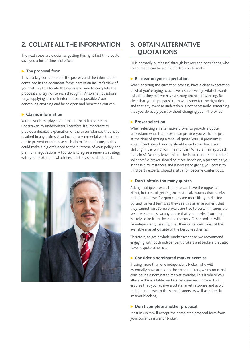# **2. COLLATE ALL THE INFORMATION**

The next steps are crucial, as getting this right first time could save you a lot of time and effort.

## **The proposal form**

This is a key component of the process and the information contained in the document forms part of an insurer's view of your risk. Try to allocate the necessary time to complete the proposal and try not to rush through it. Answer all questions fully, supplying as much information as possible. Avoid concealing anything and be as open and honest as you can.

### **Exercise Secure 2** Claims information

Your past claims play a vital role in the risk assessment undertaken by underwriters. Therefore, it's important to provide a detailed explanation of the circumstances that have resulted in any claims. Also include any remedial work carried out to prevent or minimise such claims in the future, as this could make a big difference to the outcome of your policy and premium negotiations. A top tip is to agree a renewals strategy with your broker and which insurers they should approach.



## **3. OBTAIN ALTERNATIVE QUOTATIONS**

PII is primarily purchased through brokers and considering who to approach can be a difficult decision to make.

### **Be clear on your expectations**

When entering the quotation process, have a clear expectation of what you're trying to achieve. Insurers will gravitate towards risks that they believe have a strong chance of winning. Be clear that you're prepared to move insurer for the right deal and that any exercise undertaken is not necessarily 'something that you do every year', without changing your PII provider.

### **Broker selection**

When selecting an alternative broker to provide a quote, understand what that broker can provide you with, not just at the time of getting a renewal quote. Your PII premium is a significant spend, so why should your broker leave you 'drifting in the wind' for nine months? What is their approach to claims? Do they leave this to the insurer and their panel of solicitors? A broker should be more hands on, representing you in these circumstances and if necessary, giving you access to third party experts, should a situation become contentious.

## **Don't obtain too many quotes**

Asking multiple brokers to quote can have the opposite effect, in terms of getting the best deal. Insurers that receive multiple requests for quotations are more likely to decline putting forward terms, as they see this as an argument that they cannot win. Some brokers are tied to certain insurers via bespoke schemes, so any quote that you receive from them is likely to be from these tied markets. Other brokers will be independent, meaning that they can access most of the available market outside of the bespoke schemes.

Therefore, to get a whole market response, we recommend engaging with both independent brokers and brokers that also have bespoke schemes.

#### **EXCONSIDER A nominated market exercise**

If using more than one independent broker, who will essentially have access to the same markets, we recommend considering a nominated market exercise. This is where you allocate the available markets between each broker. This ensures that you receive a total market response and avoid multiple requests to the same insurers, as well as potential 'market blocking'.

## **Don't complete another proposal**

Most insurers will accept the completed proposal form from your current insurer or broker.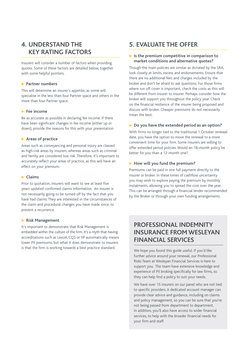## **4. UNDERSTAND THE KEY RATING FACTORS**

Insurers will consider a number of factors when providing quotes. Some of these factors are detailed below, together with some helpful pointers.

#### **Partner numbers**

This will determine an insurer's appetite, as some will specialise in the less than four Partner space and others in the more than four Partner space.

#### **Fee income**

Be as accurate as possible in declaring fee income. If there have been significant changes in fee income (either up or down), provide the reasons for this with your presentation.

### **Areas of practice**

Areas such as conveyancing and personal injury are classed as high-risk areas by insurers, whereas areas such as criminal and family are considered low risk. Therefore, it's important to accurately reflect your areas of practice, as this will have an effect on your premium.

### **Exercise**

Prior to quotation, insurers will want to see at least five years updated confirmed claims information. An insurer is not necessarily going to be turned off by the fact that you have had claims. They are interested in the circumstances of the claim and procedural changes you have made since, to prevent a recurrence.

#### **Risk Management**

It's important to demonstrate that Risk Management is embedded within the culture of the firm. It's a myth that having accreditations such as Lexcel, CQS or IIP automatically means lower PII premiums, but what it does demonstrate to insurers is that the firm is working towards a best practice standard.

## **5. EVALUATE THE OFFER**

### **If** Is the premium competitive in comparison to **market conditions and alternative quotes?**

Though the main policies are similar as dictated by the SRA, look closely at limits, excess and endorsements. Ensure that there are no additional fees and charges included by the broker and don't be afraid to ask questions. For those firms where run off cover is important, check the costs as this will be different from insurer to insurer. Perhaps consider how the broker will support you throughout the policy year. Check on the financial resilience of the insurer being proposed and discuss with broker. Cheaper premiums do not necessarily mean the best.

#### **Do you have the extended period as an option?**

With firms no longer tied to the traditional 1 October renewal date, you have the option to move the renewal to a more convenient time for your firm. Some insurers are willing to offer extended period policies. Would an 18-month policy be better for you than a 12-month one?

#### How will you fund the premium?

Premiums can be paid in one full payment directly to the insurer or broker. In these times of cashflow uncertainty you may wish to explore paying the premium by monthly instalments, allowing you to spread the cost over the year. This can be arranged through a financial lender recommended by the Broker or through your own funding arrangements.

## **PROFESSIONAL INDEMNITY INSURANCE FROM WESLEYAN FINANCIAL SERVICES**

We hope you found this guide useful. If you'd like further advice around your renewal, our Professional Risks Team at Wesleyan Financial Services is here to support you. The team have extensive knowledge and experience of PII broking specifically for law firms, so they can help find a policy to suit your needs.

We have over 15 insurers on our panel who are not tied to specific providers. A dedicated account manager can provide clear advice and guidance, including on claims and policy management, so you can be sure that you're not being passed from department to department. In addition, you'll also have access to wider financial services, to help with the broader financial needs for your firm and staff.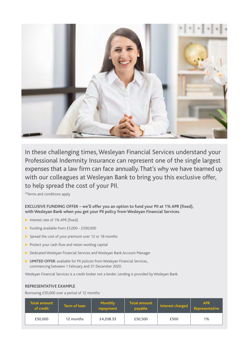

In these challenging times, Wesleyan Financial Services understand your Professional Indemnity Insurance can represent one of the single largest expenses that a law firm can face annually. That's why we have teamed up with our colleagues at Wesleyan Bank to bring you this exclusive offer, to help spread the cost of your PII.

\*Terms and conditions apply

**EXCLUSIVE FUNDING OFFER – we'll offer you an option to fund your PII at 1% APR (fixed), with Wesleyan Bank when you get your PII policy from Wesleyan Financial Services.** 

- $\triangleright$  Interest rate of 1% APR (fixed)
- Funding available from  $£5,000 £500,000$
- $\triangleright$  Spread the cost of your premium over 12 or 18 months
- $\triangleright$  Protect your cash flow and retain working capital
- Dedicated Wesleyan Financial Services and Wesleyan Bank Account Manager
- **LIMITED OFFER:** available for PII policies from Wesleyan Financial Services, commencing between 1 February and 31 December 2020.

Wesleyan Financial Services is a credit broker not a lender. Lending is provided by Wesleyan Bank.

#### **REPRESENTATIVE EXAMPLE**

Borrowing £50,000 over a period of 12 months:

| <b>Total amount</b><br>of credit | Term of loan | <b>Monthly</b><br>repayment | <b>Total amount</b><br>payable | Interest charged | <b>APR</b><br>Representative |
|----------------------------------|--------------|-----------------------------|--------------------------------|------------------|------------------------------|
| £50,000                          | 12 months    | £4,208.33                   | £50,500                        | £500             | 1%                           |